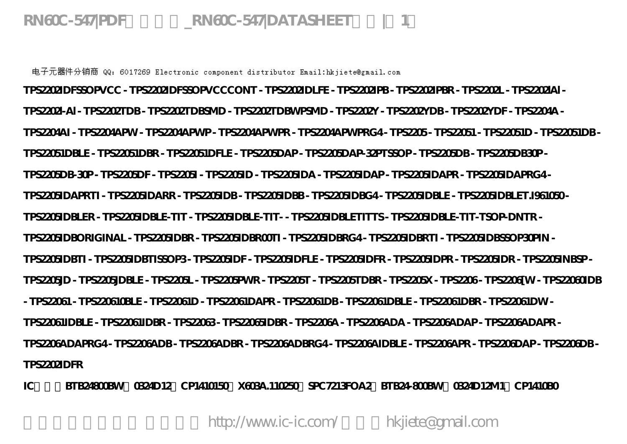**RN60C-547|PDF资料下载\_RN60C-547|DATASHEET文档|第1页**

电子元器件分销商 QQ: 6017269 Electronic component distributor Email:hkjiete@gmail.com **TPS2202IDFSSOPVCC - TPS2202IDFSSOPVCCCONT - TPS2202IDLFE - TPS2202IPB - TPS2202IPBR - TPS2202L - TPS2202lAl - TPS2202l-Al - TPS2202TDB - TPS2202TDBSMD - TPS2202TDBWPSMD - TPS2202Y - TPS2202YDB - TPS2202YDF - TPS2204A - TPS2204AI - TPS2204APW - TPS2204APWP - TPS2204APWPR - TPS2204APWPRG4 - TPS2205 - TPS22051 - TPS22051D - TPS22051DB - TPS22051DBLE - TPS22051DBR - TPS22051DFLE - TPS2205DAP - TPS2205DAP-32PTSSOP - TPS2205DB - TPS2205DB30P - TPS2205DB-30P - TPS2205DF - TPS2205I - TPS2205ID - TPS2205IDA - TPS2205IDAP - TPS2205IDAPR - TPS2205IDAPRG4 - TPS2205IDAPRTI - TPS2205IDARR - TPS2205IDB - TPS2205IDBB - TPS2205IDBG4 - TPS2205IDBLE - TPS2205IDBLET.I961050 - TPS2205IDBLER - TPS2205IDBLE-TIT - TPS2205IDBLE-TIT- - TPS2205IDBLETITTS - TPS2205IDBLE-TIT-TSOP-DNTR - TPS2205IDBORIGINAL - TPS2205IDBR - TPS2205IDBR00TI - TPS2205IDBRG4 - TPS2205IDBRTI - TPS2205IDBSSOP30PIN - TPS2205IDBTI - TPS2205IDBTISSOP3 - TPS2205IDF - TPS2205IDFLE - TPS2205IDFR - TPS2205IDPR - TPS2205IDR - TPS2205INBSP - TPS2205JD - TPS2205JDBLE - TPS2205L - TPS2205PWR - TPS2205T - TPS2205TDBR - TPS2205X - TPS2206 - TPS2206[W - TPS22060IDB - TPS22061 - TPS220610BLE - TPS22061D - TPS22061DAPR - TPS22061DB - TPS22061DBLE - TPS22061DBR - TPS22061DW - TPS22061IDBLE - TPS22061IDBR - TPS22063 - TPS22065IDBR - TPS2206A - TPS2206ADA - TPS2206ADAP - TPS2206ADAPR - TPS2206ADAPRG4 - TPS2206ADB - TPS2206ADBR - TPS2206ADBRG4 - TPS2206AIDBLE - TPS2206APR - TPS2206DAP - TPS2206DB - TPS2202IDFR**

**IC供应:BTB24800BW、0324D12、CP1410150、X603A.110250、SPC7213FOA2、BTB24-800BW、0324D12M1、CP1410B0**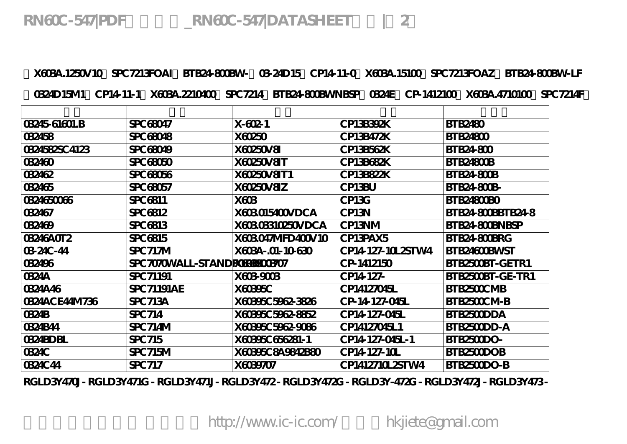**RN60C-547|PDF资料下载\_RN60C-547|DATASHEET文档|第2页**

**、X603A.1250V10、SPC7213FOAI、BTB24-800BW-、03-24D15、CP14-11-0、X603A.15100、SPC7213FOAZ、BTB24-800BW-LF 、0324D15M1、CP14-11-1、X603A.2210400、SPC7214、BTB24-800BWNBSP、0324E、CP-1412100、X603A.4710100、SPC7214F。**

| 03245-61601.B  | SPC 68047                    | $X - 602 - 1$     | CP13B392K         | <b>BTB2480</b>     |
|----------------|------------------------------|-------------------|-------------------|--------------------|
| 032458         | SPC 68048                    | X60250            | CP13B472K         | <b>BTB24800</b>    |
| 0324582SC 4123 | SPC 68049                    | X60250V8I         | CP13B562K         | <b>BTB24800</b>    |
| 032460         | <b>SPC 68050</b>             | X60250V8IT        | CP13B682K         | BTB24800B          |
| 032462         | SPC 68056                    | X60250V8IT1       | CP13B822K         | BTB24-800B         |
| 032465         | SPC 68057                    | X60250V8IZ        | CP13BU            | <b>BTB24-800B-</b> |
| 0324650066     | SPC 6811                     | X603              | CP13G             | <b>BTB24800BO</b>  |
| 032467         | SPC 6812                     | X603015400VDCA    | CP13N             | BTB24-800BBTB24-8  |
| 032469         | SPC 6813                     | X60303310250VDCA  | CP13NM            | BTB24-800BNBSP     |
| 03246A0T2      | SPC 6815                     | X603047MFD400V10  | CP13PAX5          | BTB24-800BRG       |
| 03-24C-44      | SPC717M                      | X603A-.01-10-630  | CP14 127-10L2STW4 | BTB24600BWST       |
| 032496         | SPC 7070WALL-STANDEXERENO307 |                   | CP-1412150        | BTB2500BT-GETR1    |
| 0324A          | SPC 71191                    | X603-9003         | CP14-127-         | BTB2500BT-GE-TR1   |
| 0324A46        | <b>SPC 71191AE</b>           | X60395C           | CP14127045L       | BTB2500CMB         |
| 0324ACE44M736  | <b>SPC 713A</b>              | X60395C 5962-3826 | CP-14-127-045L    | BTB2500CM-B        |
| 0324B          | SPC 714                      | X60395C 5962-8852 | CP14-127-045L     | BTB2500DDA         |
| 0324B44        | SPC714M                      | X60395C 5962-9086 | CP14127045L1      | BTB2500DD-A        |
| 0324BDBL       | SPC 715                      | X60395C656281-1   | CP14-127-045L-1   | BTB2500DO-         |
| <b>0324C</b>   | SPC715M                      | X60395C8A9842B80  | CP14 127-10L      | BTB2500DOB         |
| 0324C44        | SPC 717                      | X6039707          | CP1412710L2STW4   | BTB2500DO-B        |

**RGLD3Y470J - RGLD3Y471G - RGLD3Y471J - RGLD3Y472 - RGLD3Y472G - RGLD3Y-472G - RGLD3Y472J - RGLD3Y473 -**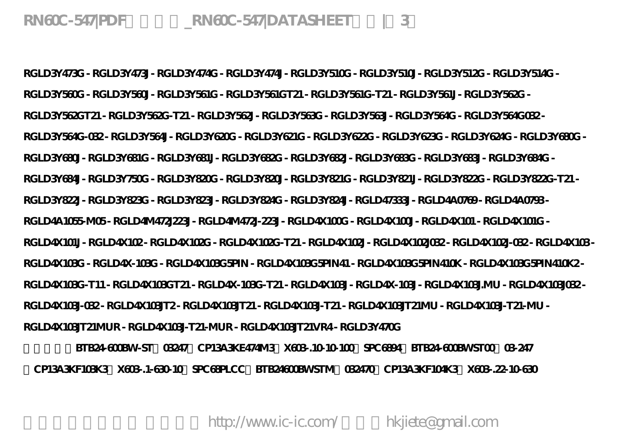**RGLD3Y473G - RGLD3Y473J - RGLD3Y474G - RGLD3Y474J - RGLD3Y510G - RGLD3Y510J - RGLD3Y512G - RGLD3Y514G - RGLD3Y560G - RGLD3Y560J - RGLD3Y561G - RGLD3Y561GT21 - RGLD3Y561G-T21 - RGLD3Y561J - RGLD3Y562G - RGLD3Y562GT21 - RGLD3Y562G-T21 - RGLD3Y562J - RGLD3Y563G - RGLD3Y563J - RGLD3Y564G - RGLD3Y564G032 - RGLD3Y564G-032 - RGLD3Y564J - RGLD3Y620G - RGLD3Y621G - RGLD3Y622G - RGLD3Y623G - RGLD3Y624G - RGLD3Y680G - RGLD3Y680J - RGLD3Y681G - RGLD3Y681J - RGLD3Y682G - RGLD3Y682J - RGLD3Y683G - RGLD3Y683J - RGLD3Y684G - RGLD3Y684J - RGLD3Y750G - RGLD3Y820G - RGLD3Y820J - RGLD3Y821G - RGLD3Y821J - RGLD3Y822G - RGLD3Y822G-T21 - RGLD3Y822J - RGLD3Y823G - RGLD3Y823J - RGLD3Y824G - RGLD3Y824J - RGLD47333J - RGLD4A0769 - RGLD4A0793 - RGLD4A1055-M05 - RGLD4M472J223J - RGLD4M472J-223J - RGLD4X100G - RGLD4X100J - RGLD4X101 - RGLD4X101G - RGLD4X101J - RGLD4X102 - RGLD4X102G - RGLD4X102G-T21 - RGLD4X102J - RGLD4X102J032 - RGLD4X102J-032 - RGLD4X103 - RGLD4X103G - RGLD4X-103G - RGLD4X103G5PIN - RGLD4X103G5PIN41 - RGLD4X103G5PIN410K - RGLD4X103G5PIN410K2 - RGLD4X103G-T11 - RGLD4X103GT21 - RGLD4X-103G-T21 - RGLD4X103J - RGLD4X-103J - RGLD4X103J.MU - RGLD4X103J032 - RGLD4X103J-032 - RGLD4X103JT2 - RGLD4X103JT21 - RGLD4X103J-T21 - RGLD4X103JT21MU - RGLD4X103J-T21-MU - RGLD4X103JT21MUR - RGLD4X103J-T21-MUR - RGLD4X103JT21VR4 - RGLD3Y470G**

**价格参考:BTB24-600BW-ST、03247、CP13A3KE474M3、X603-.10-10-100、SPC6894、BTB24-600BWST00、03-247 、CP13A3KF103K3、X603-.1-630-10、SPC68PLCC、BTB24600BWSTM、032470、CP13A3KF104K3、X603-.22-10-630**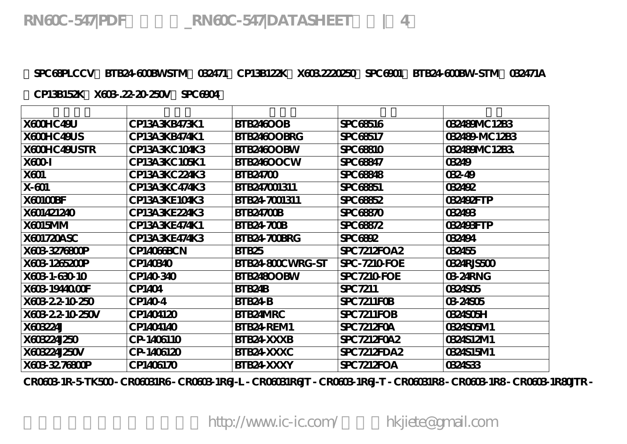**、SPC68PLCCV、BTB24-600BWSTM、032471、CP13B122K、X603.2220250、SPC6901、BTB24-600BW-STM、032471A**

**、CP13B152K、X603-.22-20-250V、SPC6904。**

| X600HC49U        | CP13A3KB473K1 | BTB246OOB         | SPC 68516           | 032489MC12B3  |
|------------------|---------------|-------------------|---------------------|---------------|
| X600HC49US       | CP13A3KB474K1 | BTB246OOBRG       | SPC 68517           | 032489-MC12B3 |
| X600HC49USTR     | CP13A3KC104K3 | BTB246OOBW        | SPC 68810           | 032489MC12B3  |
| X600-I           | CP13A3KC105K1 | BTB246OOCW        | SPC 68847           | 03249         |
| X601             | CP13A3KC224K3 | <b>BTB24700</b>   | <b>SPC 68848</b>    | 032-49        |
| $X-601$          | CP13A3KC474K3 | BTB247001311      | <b>SPC 68851</b>    | 032492        |
| X60100BF         | CP13A3KE104K3 | BTB24-7001311     | SPC 68852           | 032492FTP     |
| X601421240       | CP13A3KE224K3 | <b>BTB24700B</b>  | <b>SPC 68870</b>    | 032493        |
| X6015MM          | CP13A3KE474K1 | <b>BTB24-700B</b> | SPC 68872           | 032493FTP     |
| X601720ASC       | CP13A3KE474K3 | BTB24-700BRG      | <b>SPC 6892</b>     | 032494        |
| X603-3276800P    | CP14066BCN    | BTB <sub>25</sub> | SPC 7212FOA2        | 032455        |
| X603-1265200P    | CP140340      | BTB24-800CWRG-ST  | <b>SPC-7210 FOE</b> | 0324RJ5500    |
| X603-1-630-10    | CP140-340     | BTB248OOBW        | <b>SPC 7210 FOE</b> | 03-24RNG      |
| X603-19440.OOF   | CP1404        | BTB24B            | SPC 7211            | 0324505       |
| X603 2 2 10 250  | CP140-4       | BTB24-B           | SPC 7211 FOB        | 03-24S05      |
| X603 2 2-10 250V | CP1404120     | BTB24MRC          | SPC 7211FOB         | 0324S05H      |
| X603224J         | CP1404140     | BTB24 REM1        | <b>SPC 7212FOA</b>  | 0324S05M1     |
| X603224J250      | CP-1406110    | BTB24-XXXB        | SPC 7212F0A2        | 0324S12M1     |
| X603224J250V     | CP-1406120    | BTB24 XXXC        | SPC7212FDA2         | 0324S15M1     |
| X603-32.76800P   | CP1406170     | BTB24-XXXY        | SPC7212FOA          | 0324533       |

**CR0603-1R-5-TK500 - CR06031R6 - CR0603-1R6J-L - CR06031R6JT - CR0603-1R6J-T - CR06031R8 - CR0603-1R8 - CR0603-1R80JTR -**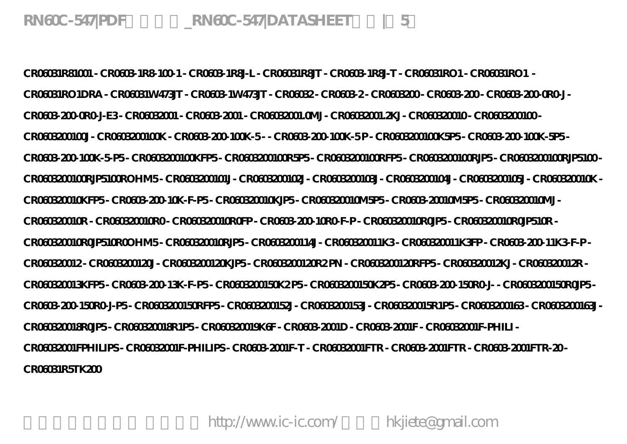**CR06031R81001 - CR0603-1R8-100-1 - CR0603-1R8J-L - CR06031R8JT - CR0603-1R8J-T - CR06031RO1 - CR06031RO1 - CR06031RO1DRA - CR06031W473JT - CR0603-1W473JT - CR06032 - CR0603-2 - CR0603200 - CR0603-200 - CR0603-200-0R0-J - CR0603-200-0R0-J-E3 - CR06032001 - CR0603-2001 - CR06032001.0MJ - CR06032001.2KJ - CR060320010 - CR0603200100 - CR0603200100J - CR0603200100K - CR0603-200-100K-5 - - CR0603-200-100K-5 P - CR0603200100K5P5 - CR0603-200-100K-5P5 - CR0603-200-100K-5-P5 - CR0603200100KFP5 - CR0603200100R5P5 - CR0603200100RFP5 - CR0603200100RJP5 - CR0603200100RJP5100 - CR0603200100RJP5100ROHM5 - CR0603200101J - CR0603200102J - CR0603200103J - CR0603200104J - CR0603200105J - CR060320010K - CR060320010KFP5 - CR0603-200-10K-F-P5 - CR060320010KJP5 - CR060320010M5P5 - CR0603-20010M5P5 - CR060320010MJ - CR060320010R - CR060320010R0 - CR060320010R0FP - CR0603-200-10R0-F-P - CR060320010R0JP5 - CR060320010R0JP510R - CR060320010R0JP510R0OHM5 - CR060320010RJP5 - CR0603200114J - CR060320011K3 - CR060320011K3FP - CR0603-200-11K3-F-P - CR060320012 - CR0603200120J - CR0603200120KJP5 - CR0603200120R2 PN - CR0603200120RFP5 - CR060320012KJ - CR060320012R - CR060320013KFP5 - CR0603-200-13K-F-P5 - CR0603200150K2 P5 - CR0603200150K2P5 - CR0603-200-150R0-J- - CR0603200150R0JP5 - CR0603-200-150R0-J-P5 - CR0603200150RFP5 - CR0603200152J - CR0603200153J - CR060320015R1P5 - CR0603200163 - CR0603200163J - CR060320018R0JP5 - CR060320018R1P5 - CR060320019K6F - CR0603-2001D - CR0603-2001F - CR06032001F-PHILI - CR06032001FPHILIPS - CR06032001F-PHILIPS - CR0603-2001F-T - CR06032001FTR - CR0603-2001FTR - CR0603-2001FTR-20 - CR06031R5TK200**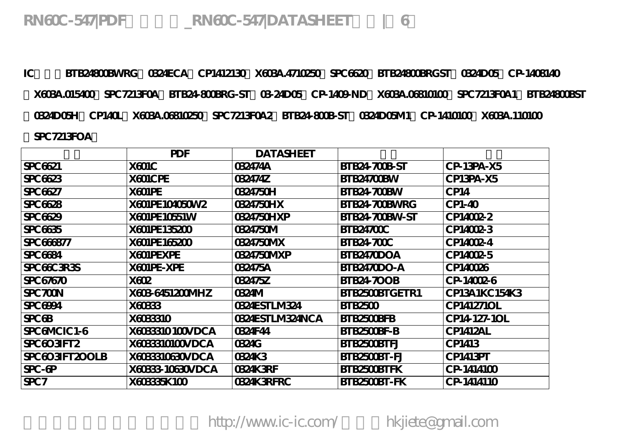**IC求购:BTB24800BWRG、0324ECA、CP1412130、X603A.4710250、SPC6620、BTB24800BRGST、0324D05、CP-1408140 、X603A.015400、SPC7213F0A、BTB24-800BRG-ST、03-24D05、CP-1409-ND、X603A.06810100、SPC7213F0A1、BTB24800BST 、0324D05H、CP140L、X603A.06810250、SPC7213F0A2、BTB24-800B-ST、0324D05M1、CP-1410100、X603A.110100 、SPC7213FOA。**

|                    | PDF              | <b>DATASHEET</b> |                   |               |
|--------------------|------------------|------------------|-------------------|---------------|
| SPC 6621           | X601C            | 032474A          | BTB24-700B-ST     | CP-13PA-X5    |
| SPC 6623           | X601CPE          | 032474Z          | BTB24700BW        | CP13PA-X5     |
| SPC 6627           | X601PE           | 0324750H         | BTB24-700BW       | CP14          |
| <b>SPC 6628</b>    | X601PE104050W2   | 0324750HX        | BTB24-700BWRG     | $CP1-40$      |
| SPC 6629           | X601PE10551W     | 0324750HXP       | BTB24-700BW-ST    | CP14002-2     |
| <b>SPC 6635</b>    | X601PE135200     | 0324750M         | <b>BTB24700C</b>  | CP14002-3     |
| SPC 666877         | X601PE165200     | 0324750MX        | <b>BTB24700C</b>  | CP14002-4     |
| <b>SPC 6684</b>    | X601PEXPE        | 0324750MXP       | BTB2470DOA        | CP14002-5     |
| SPC 66C 3R 3S      | X601PE-XPE       | 032475A          | BTB2470DO-A       | CP140026      |
| SPC 67670          | X602             | 032475Z          | <b>BTB24-700B</b> | CP-14002-6    |
| SPC 700N           | X603-6451200MHZ  | 0324M            | BTB2500BTGETR1    | CP13A1KC154K3 |
| <b>SPC 6994</b>    | X60333           | 0324ESTLM324     | <b>BTB2500</b>    | CP141271OL    |
| SPC <sub>6</sub> B | X603310          | 0324ESTLM324NCA  | BTB2500BFB        | CP14-127-1OL  |
| SPCGMCIC1-6        | X6033310 100VDCA | 0324F44          | BTB2500BF-B       | CP1412AL      |
| SPC6O3IFT2         | X6033310100VDCA  | 0324G            | BTB2500BTFJ       | CP1413        |
| SPC603IFT200LB     | X6033310630VDCA  | 0324K3           | BTB2500BT-FJ      | CP1413PT      |
| $SPC - GP$         | X60333-10630VDCA | 0324K3RF         | BTB2500BTFK       | CP-1414100    |
| SPC <sub>7</sub>   | X60335K 100      | 0324K3RFRC       | BTB2500BT-FK      | CP-1414110    |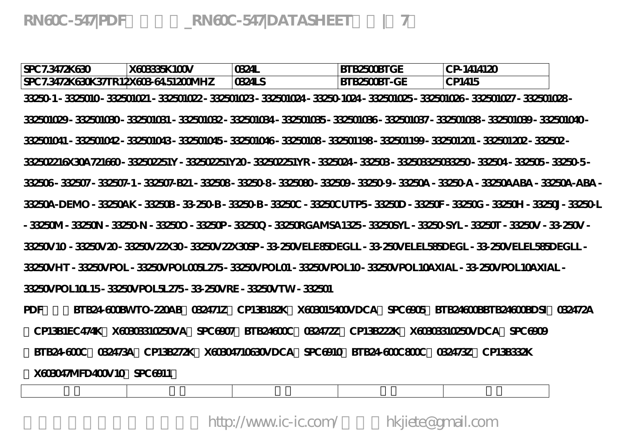| SPC 7.3472K630 | X603335K100V                                                                                                                    | 0324L  | BTB2500BTGE  | CP-1414120 |  |
|----------------|---------------------------------------------------------------------------------------------------------------------------------|--------|--------------|------------|--|
|                | SPC 7.3472K630K37TR12X603-64.51200MHZ                                                                                           | 0324LS | BTB2500BT-GE | CP1415     |  |
|                | 33250+1 - 3325010- 332501021 - 332501022 - 332501023 - 332501024 - 33250-1024 - 332501025 - 332501026 - 332501027 - 332501028 - |        |              |            |  |
|                | 332501029-332501030-332501031-332501032-332501034-332501035-332501036-332501037-332501038-332501039-332501040-                  |        |              |            |  |
|                | 332501041 - 332501042 - 332501043 - 332501045 - 332501046 - 33250108 - 332501198 - 332501199 - 332501201 - 332501202 - 332502 - |        |              |            |  |
|                | 332502216X30A721660-332502251Y-332502251Y20-332502251YR-3325024-332503-33250332503250-332504-332505-33250-5-                    |        |              |            |  |
|                | 332506-332507-332507-1-332507-B21-332508-33250-8-3325080-332509-33250-9-33250A-33250-A-33250AABA-33250A-ABA-                    |        |              |            |  |
|                | 33250A-DEMO - 33250AK - 33250B - 33-250-B - 33250-B - 33250C UTP5 - 33250D - 33250F - 33250G - 33250H - 33250J - 33250-L        |        |              |            |  |
|                | - 33250M - 33250N - 33250-N - 332500 - 332500- 332500, - 33250RGAMSA 1325- 33250SYL - 33250-SYL - 33250T - 33250V - 33-250V -   |        |              |            |  |
|                | 33250V 10 - 33250V 20- 33250V 22X30- 33250V 22X30SP - 33-250V ELE85D EGLL - 33-250V ELEL585D EGL - 33-250V ELEL585D EGLL -      |        |              |            |  |
|                | 33250VHT - 33250VPOL - 33250VPOL005L275 - 33250VPOL01 - 33250VPOL10 - 33250VPOL10AXIAL - 33-250VPOL10AXIAL -                    |        |              |            |  |
|                | 33250VPOL10L15-33250VPOL5L275-33-250VRE-33250VTW-332501                                                                         |        |              |            |  |
| $\mathbf{r}$   | PERSIAN BOORLE COALD COALMULE CRISPIANI ILOGOALMICALE CROCOCAM PERSIAAN PERSIAAN DAARD OF COALMA                                |        |              |            |  |

**PDF资料:BTB24-600BWTO-220AB、032471Z、CP13B182K、X603015400VDCA、SPC6905、BTB24600BBTB24600BDSI、032472A 、CP13B1EC474K、X60303310250VA、SPC6907、BTB24600C、032472Z、CP13B222K、X60303310250VDCA、SPC6909 、BTB24-600C、032473A、CP13B272K、X60304710630VDCA、SPC6910、BTB24-600C800C、032473Z、CP13B332K 、X603047MFD400V10、SPC6911。**

**型号 厂家 批号 封装 备注**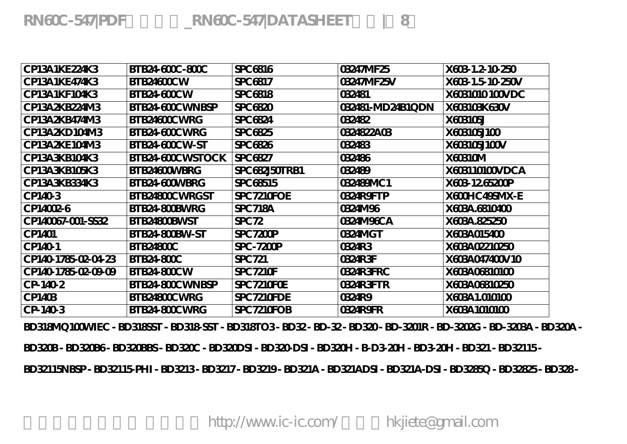**BD318MQ100WIEC - BD318SST - BD318-SST - BD318TO3 - BD32 - BD-32 - BD320 - BD-3201R - BD-3202G - BD-3203A - BD320A - BD320B - BD320B6 - BD320BBS - BD320C - BD320DSI - BD320-DSI - BD320H - B-D3-20H - BD3-20H - BD321 - BD32115 - BD32115NBSP - BD32115-PHI - BD3213 - BD3217 - BD3219 - BD321A - BD321ADSI - BD321A-DSI - BD3285Q - BD32825 - BD328 -** 

**CP-140-3 BTB24-800CWRG SPC7210FOB 0324R9FR X603A1010100**

| CP13A1KE224K3       | BTB24-600C-800C  | SPC 6816        | 03247MF25        | X603 1.2-10-250  |
|---------------------|------------------|-----------------|------------------|------------------|
| CP13A1KE474K3       | BTB24600CW       | SPC 6817        | 03247MF25V       | X603 1.5 10 250V |
| CP13A1KF104K3       | BTB24-600CW      | <b>SPC 6818</b> | 032481           | X6031010100VDC   |
| CP13A2KB224M3       | BTB24-600CWNBSP  | SPC 6820        | 032481-MD24B1QDN | X603103K630V     |
| CP13A2KB474M3       | BTB24600CWRG     | SPC 6824        | 032482           | X603105J         |
| CP13A2KD104M3       | BTB24-600CWRG    | <b>SPC 6825</b> | 0324822A03       | X603105J100      |
| CP13A2KE104M3       | BTB24-600CW-ST   | <b>SPC 6826</b> | 032483           | X603105J100V     |
| CP13A3KB104K3       | BTB24-600CWSTOCK | SPC 6827        | 032486           | X60310M          |
| CP13A3KB105K3       | BTB24600WBRG     | SPC 682J50TRB1  | 032489           | X603110100VDCA   |
| CP13A3KB334K3       | BTB24 600WBRG    | SPC 68515       | 032489MC1        | X603 1265200P    |
| CP1403              | BTB24800CWRGST   | SPC7210FOE      | 0324R9FTP        | X600HC49SMX-E    |
| CP14002-6           | BTB24-800BWRG    | <b>SPC 718A</b> | 0324M96          | X603A.6810400    |
| CP140067-001-SS32   | BTB24800BWST     | SPC 72          | 0324M96CA        | X603A.825250     |
| CP1401              | BTB24-800BW-ST   | SPC 7200P       | 0324MGT          | X603A015400      |
| CP140-1             | BTB24800C        | $SPC - 7200P$   | 0324R3           | X603A02210250    |
| CP140-1785-02-04-23 | <b>BTB24800C</b> | SPC 721         | 0324R3F          | X603A047400V10   |
| CP140-1785-02-09-09 | BTB24-800CW      | SPC 7210F       | 0324R3FRC        | X603A06810100    |
| CP-140-2            | BTB24-800CWNBSP  | SPC 7210FOE     | 0324R3FTR        | X603A06810250    |
| CP1403              | BTB24800CWRG     | SPC7210FDE      | 0324R9           | X603A 1.010100   |
|                     |                  |                 |                  |                  |